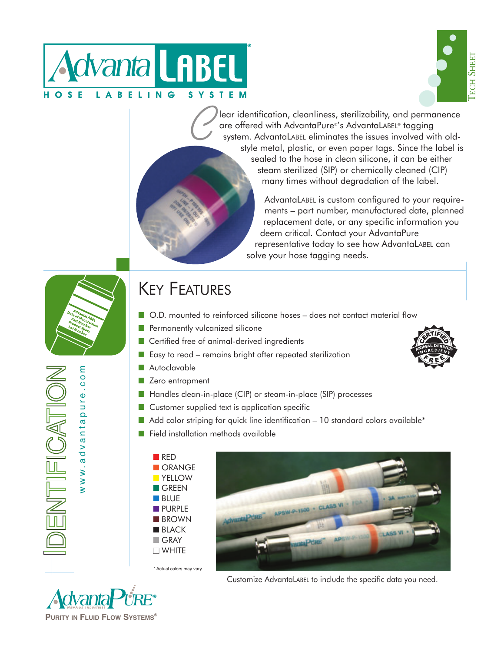



lear identification, cleanliness, sterilizability, and permanence are offered with AdvantaPure®'s AdvantaLABEL® tagging system. AdvantaLABEL eliminates the issues involved with oldstyle metal, plastic, or even paper tags. Since the label is sealed to the hose in clean silicone, it can be either steam sterilized (SIP) or chemically cleaned (CIP) many times without degradation of the label.

> AdvantaLABEL is custom configured to your requirements – part number, manufactured date, planned replacement date, or any specific information you deem critical. Contact your AdvantaPure representative today to see how AdvantaLABEL can solve your hose tagging needs.

www.advantapure.com

IFICATIO

ww.advantapure.com

## KEY FEATURES

- O.D. mounted to reinforced silicone hoses does not contact material flow
- Permanently vulcanized silicone

 $\mathcal C$ 

- Certified free of animal-derived ingredients
- Easy to read remains bright after repeated sterilization
- Autoclavable
- Zero entrapment
- Handles clean-in-place (CIP) or steam-in-place (SIP) processes
- Customer supplied text is application specific
- Add color striping for quick line identification 10 standard colors available\*
- Field installation methods available





Customize AdvantaLABEL to include the specific data you need.